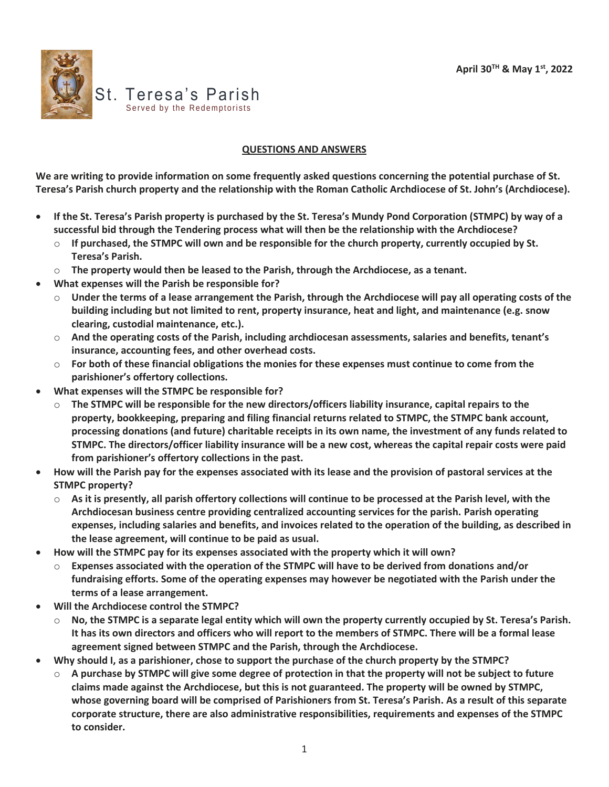

## **QUESTIONS AND ANSWERS**

**We are writing to provide information on some frequently asked questions concerning the potential purchase of St. Teresa's Parish church property and the relationship with the Roman Catholic Archdiocese of St. John's (Archdiocese).**

- **If the St. Teresa's Parish property is purchased by the St. Teresa's Mundy Pond Corporation (STMPC) by way of a successful bid through the Tendering process what will then be the relationship with the Archdiocese?**
	- o **If purchased, the STMPC will own and be responsible for the church property, currently occupied by St. Teresa's Parish.**
	- o **The property would then be leased to the Parish, through the Archdiocese, as a tenant.**
- **What expenses will the Parish be responsible for?**
	- o **Under the terms of a lease arrangement the Parish, through the Archdiocese will pay all operating costs of the building including but not limited to rent, property insurance, heat and light, and maintenance (e.g. snow clearing, custodial maintenance, etc.).**
	- o **And the operating costs of the Parish, including archdiocesan assessments, salaries and benefits, tenant's insurance, accounting fees, and other overhead costs.**
	- o **For both of these financial obligations the monies for these expenses must continue to come from the parishioner's offertory collections.**
- **What expenses will the STMPC be responsible for?**
	- o **The STMPC will be responsible for the new directors/officers liability insurance, capital repairs to the property, bookkeeping, preparing and filing financial returns related to STMPC, the STMPC bank account, processing donations (and future) charitable receipts in its own name, the investment of any funds related to STMPC. The directors/officer liability insurance will be a new cost, whereas the capital repair costs were paid from parishioner's offertory collections in the past.**
- **How will the Parish pay for the expenses associated with its lease and the provision of pastoral services at the STMPC property?**
	- o **As it is presently, all parish offertory collections will continue to be processed at the Parish level, with the Archdiocesan business centre providing centralized accounting services for the parish. Parish operating expenses, including salaries and benefits, and invoices related to the operation of the building, as described in the lease agreement, will continue to be paid as usual.**
- **How will the STMPC pay for its expenses associated with the property which it will own?**
	- o **Expenses associated with the operation of the STMPC will have to be derived from donations and/or fundraising efforts. Some of the operating expenses may however be negotiated with the Parish under the terms of a lease arrangement.**
- **Will the Archdiocese control the STMPC?**
	- o **No, the STMPC is a separate legal entity which will own the property currently occupied by St. Teresa's Parish. It has its own directors and officers who will report to the members of STMPC. There will be a formal lease agreement signed between STMPC and the Parish, through the Archdiocese.**
- **Why should I, as a parishioner, chose to support the purchase of the church property by the STMPC?**
	- o **A purchase by STMPC will give some degree of protection in that the property will not be subject to future claims made against the Archdiocese, but this is not guaranteed. The property will be owned by STMPC, whose governing board will be comprised of Parishioners from St. Teresa's Parish. As a result of this separate corporate structure, there are also administrative responsibilities, requirements and expenses of the STMPC to consider.**